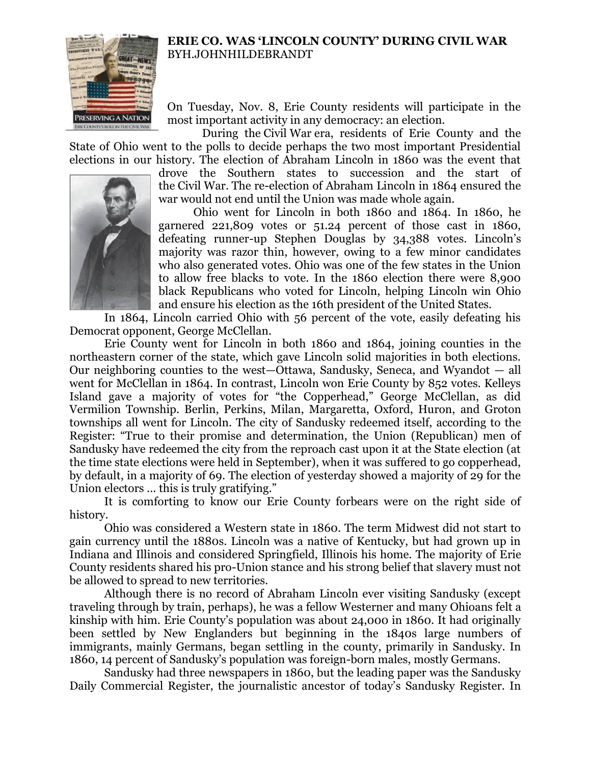

## **ERIE CO. WAS 'LINCOLN COUNTY' DURING CIVIL WAR** BYH.JOHNHILDEBRANDT

On Tuesday, Nov. 8, Erie County residents will participate in the most important activity in any democracy: an election.

During the Civil War era, residents of Erie County and the State of Ohio went to the polls to decide perhaps the two most important Presidential elections in our history. The election of Abraham Lincoln in 1860 was the event that

drove the Southern states to succession and the start of the Civil War. The re-election of Abraham Lincoln in 1864 ensured the war would not end until the Union was made whole again.

Ohio went for Lincoln in both 1860 and 1864. In 1860, he garnered 221,809 votes or 51.24 percent of those cast in 1860, defeating runner-up Stephen Douglas by 34,388 votes. Lincoln's majority was razor thin, however, owing to a few minor candidates who also generated votes. Ohio was one of the few states in the Union to allow free blacks to vote. In the 1860 election there were 8,900 black Republicans who voted for Lincoln, helping Lincoln win Ohio and ensure his election as the 16th president of the United States.

In 1864, Lincoln carried Ohio with 56 percent of the vote, easily defeating his Democrat opponent, George McClellan.

Erie County went for Lincoln in both 1860 and 1864, joining counties in the northeastern corner of the state, which gave Lincoln solid majorities in both elections. Our neighboring counties to the west—Ottawa, Sandusky, Seneca, and Wyandot — all went for McClellan in 1864. In contrast, Lincoln won Erie County by 852 votes. Kelleys Island gave a majority of votes for "the Copperhead," George McClellan, as did Vermilion Township. Berlin, Perkins, Milan, Margaretta, Oxford, Huron, and Groton townships all went for Lincoln. The city of Sandusky redeemed itself, according to the Register: "True to their promise and determination, the Union (Republican) men of Sandusky have redeemed the city from the reproach cast upon it at the State election (at the time state elections were held in September), when it was suffered to go copperhead, by default, in a majority of 69. The election of yesterday showed a majority of 29 for the Union electors ... this is truly gratifying."

It is comforting to know our Erie County forbears were on the right side of history.

Ohio was considered a Western state in 1860. The term Midwest did not start to gain currency until the 1880s. Lincoln was a native of Kentucky, but had grown up in Indiana and Illinois and considered Springfield, Illinois his home. The majority of Erie County residents shared his pro-Union stance and his strong belief that slavery must not be allowed to spread to new territories.

Although there is no record of Abraham Lincoln ever visiting Sandusky (except traveling through by train, perhaps), he was a fellow Westerner and many Ohioans felt a kinship with him. Erie County's population was about 24,000 in 1860. It had originally been settled by New Englanders but beginning in the 1840s large numbers of immigrants, mainly Germans, began settling in the county, primarily in Sandusky. In 1860, 14 percent of Sandusky's population was foreign-born males, mostly Germans.

Sandusky had three newspapers in 1860, but the leading paper was the Sandusky Daily Commercial Register, the journalistic ancestor of today's Sandusky Register. In

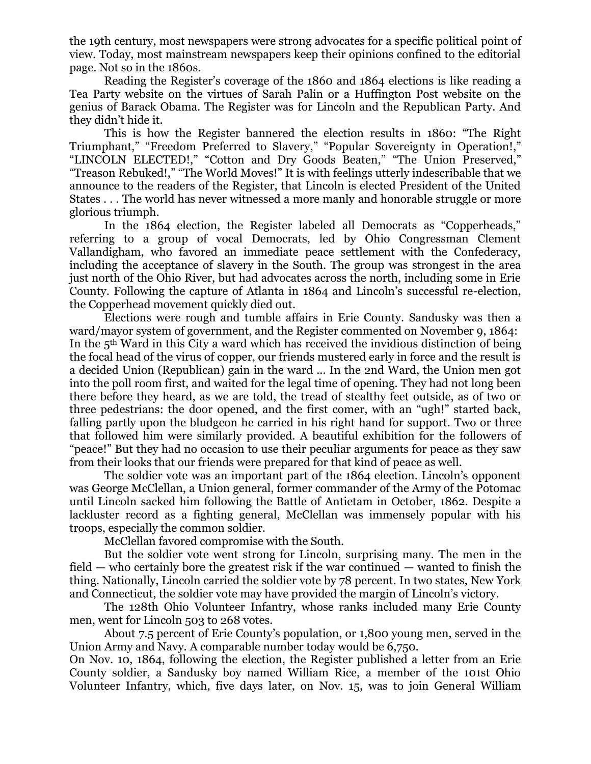the 19th century, most newspapers were strong advocates for a specific political point of view. Today, most mainstream newspapers keep their opinions confined to the editorial page. Not so in the 1860s.

Reading the Register's coverage of the 1860 and 1864 elections is like reading a Tea Party website on the virtues of Sarah Palin or a Huffington Post website on the genius of Barack Obama. The Register was for Lincoln and the Republican Party. And they didn't hide it.

This is how the Register bannered the election results in 1860: "The Right Triumphant," "Freedom Preferred to Slavery," "Popular Sovereignty in Operation!," "LINCOLN ELECTED!," "Cotton and Dry Goods Beaten," "The Union Preserved," "Treason Rebuked!," "The World Moves!" It is with feelings utterly indescribable that we announce to the readers of the Register, that Lincoln is elected President of the United States . . . The world has never witnessed a more manly and honorable struggle or more glorious triumph.

In the 1864 election, the Register labeled all Democrats as "Copperheads," referring to a group of vocal Democrats, led by Ohio Congressman Clement Vallandigham, who favored an immediate peace settlement with the Confederacy, including the acceptance of slavery in the South. The group was strongest in the area just north of the Ohio River, but had advocates across the north, including some in Erie County. Following the capture of Atlanta in 1864 and Lincoln's successful re-election, the Copperhead movement quickly died out.

Elections were rough and tumble affairs in Erie County. Sandusky was then a ward/mayor system of government, and the Register commented on November 9, 1864: In the  $5<sup>th</sup>$  Ward in this City a ward which has received the invidious distinction of being the focal head of the virus of copper, our friends mustered early in force and the result is a decided Union (Republican) gain in the ward ... In the 2nd Ward, the Union men got into the poll room first, and waited for the legal time of opening. They had not long been there before they heard, as we are told, the tread of stealthy feet outside, as of two or three pedestrians: the door opened, and the first comer, with an "ugh!" started back, falling partly upon the bludgeon he carried in his right hand for support. Two or three that followed him were similarly provided. A beautiful exhibition for the followers of "peace!" But they had no occasion to use their peculiar arguments for peace as they saw from their looks that our friends were prepared for that kind of peace as well.

The soldier vote was an important part of the 1864 election. Lincoln's opponent was George McClellan, a Union general, former commander of the Army of the Potomac until Lincoln sacked him following the Battle of Antietam in October, 1862. Despite a lackluster record as a fighting general, McClellan was immensely popular with his troops, especially the common soldier.

McClellan favored compromise with the South.

But the soldier vote went strong for Lincoln, surprising many. The men in the field — who certainly bore the greatest risk if the war continued — wanted to finish the thing. Nationally, Lincoln carried the soldier vote by 78 percent. In two states, New York and Connecticut, the soldier vote may have provided the margin of Lincoln's victory.

The 128th Ohio Volunteer Infantry, whose ranks included many Erie County men, went for Lincoln 503 to 268 votes.

About 7.5 percent of Erie County's population, or 1,800 young men, served in the Union Army and Navy. A comparable number today would be 6,750.

On Nov. 10, 1864, following the election, the Register published a letter from an Erie County soldier, a Sandusky boy named William Rice, a member of the 101st Ohio Volunteer Infantry, which, five days later, on Nov. 15, was to join General William